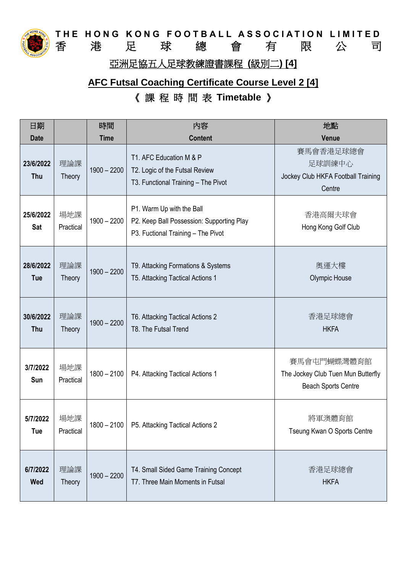

**THE HONG KONG FOOTBALL ASSOCIATION LIMITED**<br>香 港 足 球 總 會 有 限 公 司 足 球 總 會 有 限 公 司

亞洲足協五人足球教練證書課程 **(**級別二**) [4]**

# **AFC Futsal Coaching Certificate Course Level 2 [4]** 《 課 程 時 間 表 **Timetable** 》

| 日期                      |                      | 時間            | 内容                                                                                                           | 地點                                                                              |
|-------------------------|----------------------|---------------|--------------------------------------------------------------------------------------------------------------|---------------------------------------------------------------------------------|
| <b>Date</b>             |                      | <b>Time</b>   | <b>Content</b>                                                                                               | Venue                                                                           |
| 23/6/2022<br>Thu        | 理論課<br>Theory        | $1900 - 2200$ | T1. AFC Education M & P<br>T2. Logic of the Futsal Review<br>T3. Functional Training - The Pivot             | 賽馬會香港足球總會<br>足球訓練中心<br>Jockey Club HKFA Football Training<br>Centre             |
| 25/6/2022<br><b>Sat</b> | 場地課<br>Practical     | $1900 - 2200$ | P1. Warm Up with the Ball<br>P2. Keep Ball Possession: Supporting Play<br>P3. Fuctional Training - The Pivot | 香港高爾夫球會<br>Hong Kong Golf Club                                                  |
| 28/6/2022<br><b>Tue</b> | 理論課<br>Theory        | $1900 - 2200$ | T9. Attacking Formations & Systems<br>T5. Attacking Tactical Actions 1                                       | 奧運大樓<br><b>Olympic House</b>                                                    |
| 30/6/2022<br>Thu        | 理論課<br><b>Theory</b> | $1900 - 2200$ | T6. Attacking Tactical Actions 2<br>T8. The Futsal Trend                                                     | 香港足球總會<br><b>HKFA</b>                                                           |
| 3/7/2022<br>Sun         | 場地課<br>Practical     | $1800 - 2100$ | P4. Attacking Tactical Actions 1                                                                             | 賽馬會屯門蝴蝶灣體育館<br>The Jockey Club Tuen Mun Butterfly<br><b>Beach Sports Centre</b> |
| 5/7/2022<br><b>Tue</b>  | 場地課<br>Practical     | $1800 - 2100$ | P5. Attacking Tactical Actions 2                                                                             | 將軍澳體育館<br>Tseung Kwan O Sports Centre                                           |
| 6/7/2022<br>Wed         | 理論課<br>Theory        | $1900 - 2200$ | T4. Small Sided Game Training Concept<br>T7. Three Main Moments in Futsal                                    | 香港足球總會<br><b>HKFA</b>                                                           |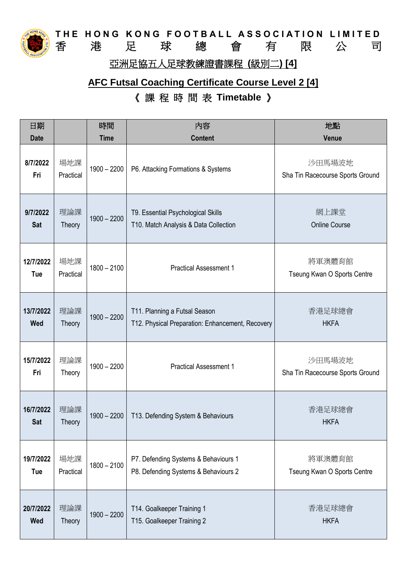

**THE HONG KONG FOOTBALL ASSOCIATION LIMITED**<br>香 港 足 球 總 會 有 限 公 司 足 球 總 會 有 限 公 司

### 亞洲足協五人足球教練證書課程 **(**級別二**) [4]**

## **AFC Futsal Coaching Certificate Course Level 2 [4]** 《 課 程 時 間 表 **Timetable** 》

| 日期                      |                      | 時間            | 内容                                                                                | 地點                                         |
|-------------------------|----------------------|---------------|-----------------------------------------------------------------------------------|--------------------------------------------|
| <b>Date</b>             |                      | <b>Time</b>   | <b>Content</b>                                                                    | Venue                                      |
| 8/7/2022<br>Fri         | 場地課<br>Practical     | $1900 - 2200$ | P6. Attacking Formations & Systems                                                | 沙田馬場波地<br>Sha Tin Racecourse Sports Ground |
| 9/7/2022<br><b>Sat</b>  | 理論課<br><b>Theory</b> | $1900 - 2200$ | T9. Essential Psychological Skills<br>T10. Match Analysis & Data Collection       | 網上課堂<br><b>Online Course</b>               |
| 12/7/2022<br>Tue        | 場地課<br>Practical     | $1800 - 2100$ | <b>Practical Assessment 1</b>                                                     | 將軍澳體育館<br>Tseung Kwan O Sports Centre      |
| 13/7/2022<br>Wed        | 理論課<br><b>Theory</b> | $1900 - 2200$ | T11. Planning a Futsal Season<br>T12. Physical Preparation: Enhancement, Recovery | 香港足球總會<br><b>HKFA</b>                      |
| 15/7/2022<br>Fri        | 理論課<br>Theory        | $1900 - 2200$ | <b>Practical Assessment 1</b>                                                     | 沙田馬場波地<br>Sha Tin Racecourse Sports Ground |
| 16/7/2022<br><b>Sat</b> | 理論課<br>Theory        | $1900 - 2200$ | T13. Defending System & Behaviours                                                | 香港足球總會<br><b>HKFA</b>                      |
| 19/7/2022<br><b>Tue</b> | 場地課<br>Practical     | $1800 - 2100$ | P7. Defending Systems & Behaviours 1<br>P8. Defending Systems & Behaviours 2      | 將軍澳體育館<br>Tseung Kwan O Sports Centre      |
| 20/7/2022<br>Wed        | 理論課<br>Theory        | $1900 - 2200$ | T14. Goalkeeper Training 1<br>T15. Goalkeeper Training 2                          | 香港足球總會<br><b>HKFA</b>                      |